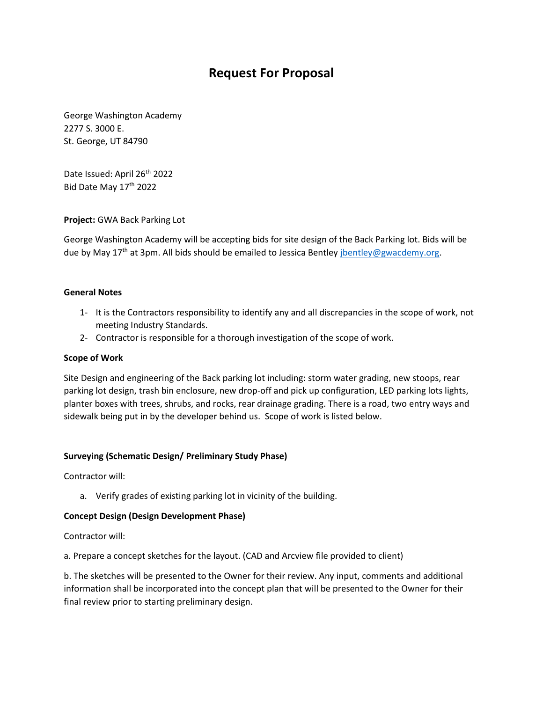# **Request For Proposal**

George Washington Academy 2277 S. 3000 E. St. George, UT 84790

Date Issued: April 26<sup>th</sup> 2022 Bid Date May 17<sup>th</sup> 2022

**Project:** GWA Back Parking Lot

George Washington Academy will be accepting bids for site design of the Back Parking lot. Bids will be due by May 17<sup>th</sup> at 3pm. All bids should be emailed to Jessica Bentle[y jbentley@gwacdemy.org.](mailto:jbentley@gwacdemy.org)

#### **General Notes**

- 1- It is the Contractors responsibility to identify any and all discrepancies in the scope of work, not meeting Industry Standards.
- 2- Contractor is responsible for a thorough investigation of the scope of work.

## **Scope of Work**

Site Design and engineering of the Back parking lot including: storm water grading, new stoops, rear parking lot design, trash bin enclosure, new drop-off and pick up configuration, LED parking lots lights, planter boxes with trees, shrubs, and rocks, rear drainage grading. There is a road, two entry ways and sidewalk being put in by the developer behind us. Scope of work is listed below.

## **Surveying (Schematic Design/ Preliminary Study Phase)**

Contractor will:

a. Verify grades of existing parking lot in vicinity of the building.

#### **Concept Design (Design Development Phase)**

Contractor will:

a. Prepare a concept sketches for the layout. (CAD and Arcview file provided to client)

b. The sketches will be presented to the Owner for their review. Any input, comments and additional information shall be incorporated into the concept plan that will be presented to the Owner for their final review prior to starting preliminary design.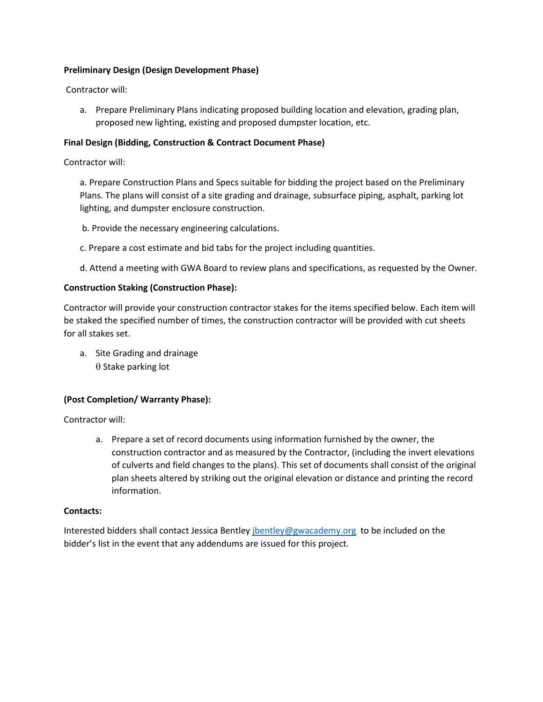# **Preliminary Design (Design Development Phase)**

Contractor will:

a. Prepare Preliminary Plans indicating proposed building location and elevation, grading plan, proposed new lighting, existing and proposed dumpster location, etc.

# **Final Design (Bidding, Construction & Contract Document Phase)**

Contractor will:

a. Prepare Construction Plans and Specs suitable for bidding the project based on the Preliminary Plans. The plans will consist of a site grading and drainage, subsurface piping, asphalt, parking lot lighting, and dumpster enclosure construction.

b. Provide the necessary engineering calculations.

c. Prepare a cost estimate and bid tabs for the project including quantities.

d. Attend a meeting with GWA Board to review plans and specifications, as requested by the Owner.

## **Construction Staking (Construction Phase):**

Contractor will provide your construction contractor stakes for the items specified below. Each item will be staked the specified number of times, the construction contractor will be provided with cut sheets for all stakes set.

a. Site Grading and drainage  $\theta$  Stake parking lot

## **(Post Completion/ Warranty Phase):**

Contractor will:

a. Prepare a set of record documents using information furnished by the owner, the construction contractor and as measured by the Contractor, (including the invert elevations of culverts and field changes to the plans). This set of documents shall consist of the original plan sheets altered by striking out the original elevation or distance and printing the record information.

## **Contacts:**

Interested bidders shall contact Jessica Bentle[y jbentley@gwacademy.org](mailto:jbentley@gwacademy.org) to be included on the bidder's list in the event that any addendums are issued for this project.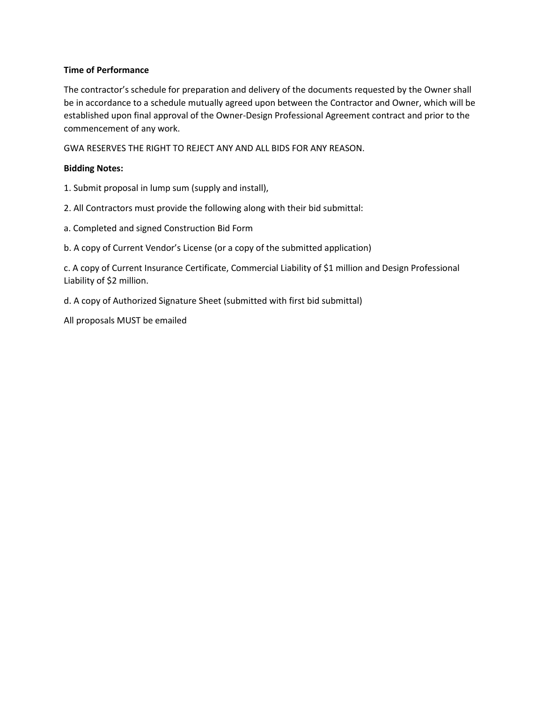# **Time of Performance**

The contractor's schedule for preparation and delivery of the documents requested by the Owner shall be in accordance to a schedule mutually agreed upon between the Contractor and Owner, which will be established upon final approval of the Owner-Design Professional Agreement contract and prior to the commencement of any work.

GWA RESERVES THE RIGHT TO REJECT ANY AND ALL BIDS FOR ANY REASON.

# **Bidding Notes:**

1. Submit proposal in lump sum (supply and install),

2. All Contractors must provide the following along with their bid submittal:

a. Completed and signed Construction Bid Form

b. A copy of Current Vendor's License (or a copy of the submitted application)

c. A copy of Current Insurance Certificate, Commercial Liability of \$1 million and Design Professional Liability of \$2 million.

d. A copy of Authorized Signature Sheet (submitted with first bid submittal)

All proposals MUST be emailed